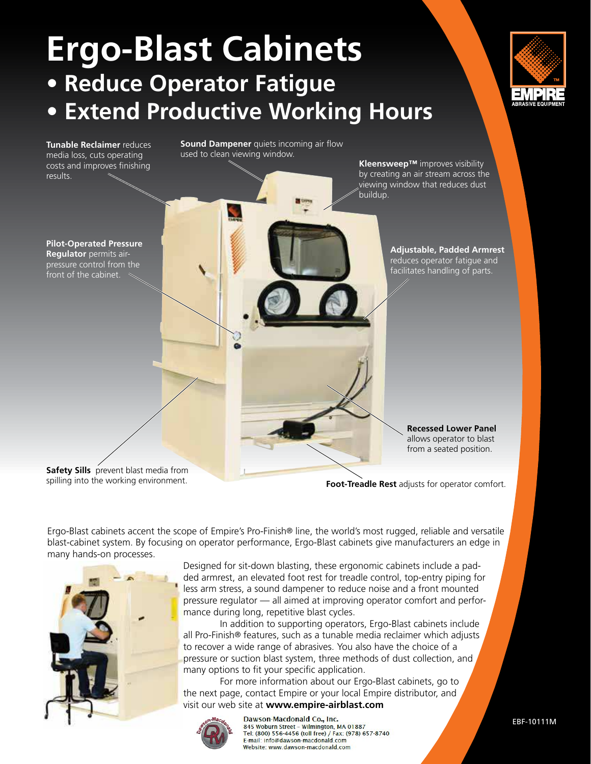# **Ergo-Blast Cabinets**

## **• Reduce Operator Fatigue • Extend Productive Working Hours**



**Tunable Reclaimer** reduces media loss, cuts operating costs and improves finishing results.

**Sound Dampener** quiets incoming air flow used to clean viewing window.

**Kleensweep™** improves visibility by creating an air stream across the viewing window that reduces dust buildup.

**Pilot-Operated Pressure Regulator** permits airpressure control from the front of the cabinet.

**Adjustable, Padded Armrest**  reduces operator fatigue and facilitates handling of parts.

> **Recessed Lower Panel**  allows operator to blast from a seated position.

**Safety Sills** prevent blast media from spilling into the working environment.

**Foot-Treadle Rest** adjusts for operator comfort.

Ergo-Blast cabinets accent the scope of Empire's Pro-Finish® line, the world's most rugged, reliable and versatile blast-cabinet system. By focusing on operator performance, Ergo-Blast cabinets give manufacturers an edge in many hands-on processes.



Designed for sit-down blasting, these ergonomic cabinets include a padded armrest, an elevated foot rest for treadle control, top-entry piping for less arm stress, a sound dampener to reduce noise and a front mounted pressure regulator — all aimed at improving operator comfort and performance during long, repetitive blast cycles.

In addition to supporting operators, Ergo-Blast cabinets include all Pro-Finish® features, such as a tunable media reclaimer which adjusts to recover a wide range of abrasives. You also have the choice of a pressure or suction blast system, three methods of dust collection, and many options to fit your specific application.

For more information about our Ergo-Blast cabinets, go to the next page, contact Empire or your local Empire distributor, and visit our web site at **www.empire-airblast.com**



Dawson-Macdonald Co., Inc. 845 Woburn Street - Wilmington, MA 01887 Tel: (800) 556-4456 (toll free) / Fax: (978) 657-8740 E-mail: info@dawson-macdonald.com Website: www.dawson-macdonald.com